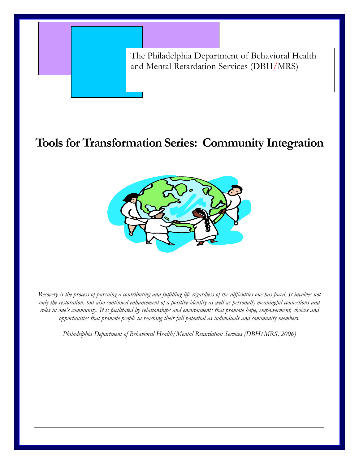The Philadelphia Department of Behavioral Health and Mental Retardation Services (DBH/MRS)

# **Tools for Transformation Series: Community Integration**



*Recovery is the process of pursuing a contributing and fulfilling life regardless of the difficulties one has faced. It involves not only the restoration, but also continued enhancement of a positive identity as well as personally meaningful connections and roles in one's community. It is facilitated by relationships and environments that promote hope, empowerment, choices and opportunities that promote people in reaching their full potential as individuals and community members.* 

*Philadelphia Department of Behavioral Health/Mental Retardation Services (DBH/MRS, 2006)*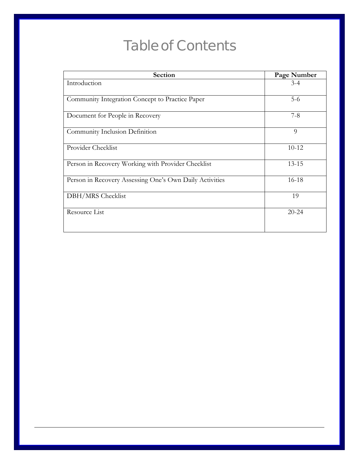# **Table of Contents**

| Section                                                 | Page Number |
|---------------------------------------------------------|-------------|
| Introduction                                            | $3-4$       |
| Community Integration Concept to Practice Paper         | $5-6$       |
| Document for People in Recovery                         | $7 - 8$     |
| Community Inclusion Definition                          | 9           |
| Provider Checklist                                      | $10 - 12$   |
| Person in Recovery Working with Provider Checklist      | $13 - 15$   |
| Person in Recovery Assessing One's Own Daily Activities | 16-18       |
| DBH/MRS Checklist                                       | 19          |
| Resource List                                           | $20 - 24$   |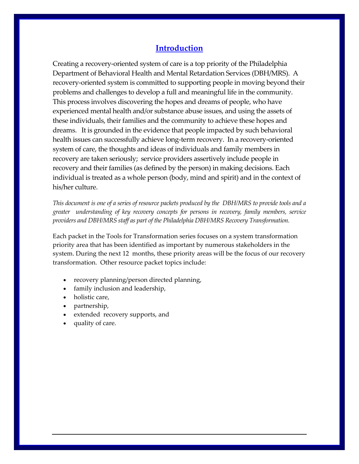## **Introduction**

Creating a recovery‐oriented system of care is a top priority of the Philadelphia Department of Behavioral Health and Mental Retardation Services (DBH/MRS). A recovery‐oriented system is committed to supporting people in moving beyond their problems and challenges to develop a full and meaningful life in the community. This process involves discovering the hopes and dreams of people, who have experienced mental health and/or substance abuse issues, and using the assets of these individuals, their families and the community to achieve these hopes and dreams. It is grounded in the evidence that people impacted by such behavioral health issues can successfully achieve long‐term recovery. In a recovery‐oriented system of care, the thoughts and ideas of individuals and family members in recovery are taken seriously; service providers assertively include people in recovery and their families (as defined by the person) in making decisions. Each individual is treated as a whole person (body, mind and spirit) and in the context of his/her culture.

This document is one of a series of resource packets produced by the DBH/MRS to provide tools and a *greater understanding of key recovery concepts for persons in recovery, family members, service providers and DBH/MRS staff as part of the Philadelphia DBH/MRS Recovery Transformation.*

Each packet in the Tools for Transformation series focuses on a system transformation priority area that has been identified as important by numerous stakeholders in the system. During the next 12 months, these priority areas will be the focus of our recovery transformation. Other resource packet topics include:

3

- recovery planning/person directed planning,
- family inclusion and leadership,
- holistic care,
- partnership,
- extended recovery supports, and
- quality of care.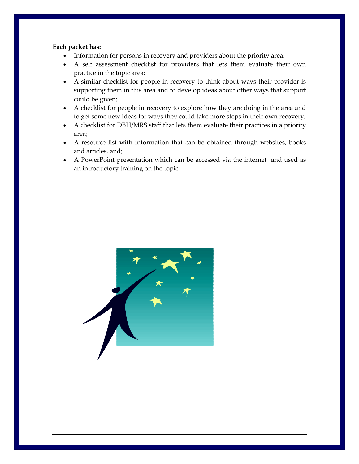### **Each packet has:**

- Information for persons in recovery and providers about the priority area;
- A self assessment checklist for providers that lets them evaluate their own practice in the topic area;
- A similar checklist for people in recovery to think about ways their provider is supporting them in this area and to develop ideas about other ways that support could be given;
- A checklist for people in recovery to explore how they are doing in the area and to get some new ideas for ways they could take more steps in their own recovery;
- A checklist for DBH/MRS staff that lets them evaluate their practices in a priority area;
- A resource list with information that can be obtained through websites, books and articles, and;
- A PowerPoint presentation which can be accessed via the internet and used as an introductory training on the topic.

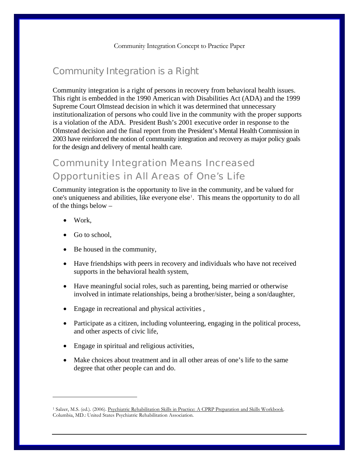## Community Integration is a Right

Community integration is a right of persons in recovery from behavioral health issues. This right is embedded in the 1990 American with Disabilities Act (ADA) and the 1999 Supreme Court Olmstead decision in which it was determined that unnecessary institutionalization of persons who could live in the community with the proper supports is a violation of the ADA. President Bush's 2001 executive order in response to the Olmstead decision and the final report from the President's Mental Health Commission in 2003 have reinforced the notion of community integration and recovery as major policy goals for the design and delivery of mental health care.

## Community Integration Means Increased Opportunities in All Areas of One's Life

Community integration is the opportunity to live in the community, and be valued for one's uniqueness and abilities, like everyone else<sup>[1](#page-4-0)</sup>. This means the opportunity to do all of the things below –

• Work,

 $\overline{a}$ 

- Go to school,
- Be housed in the community,
- Have friendships with peers in recovery and individuals who have not received supports in the behavioral health system,
- Have meaningful social roles, such as parenting, being married or otherwise involved in intimate relationships, being a brother/sister, being a son/daughter,
- Engage in recreational and physical activities ,
- Participate as a citizen, including volunteering, engaging in the political process, and other aspects of civic life,
- Engage in spiritual and religious activities,
- Make choices about treatment and in all other areas of one's life to the same degree that other people can and do.

5

<span id="page-4-0"></span><sup>&</sup>lt;sup>1</sup> Salzer, M.S. (ed.). (2006). Psychiatric Rehabilitation Skills in Practice: A CPRP Preparation and Skills Workbook. Columbia, MD.: United States Psychiatric Rehabilitation Association.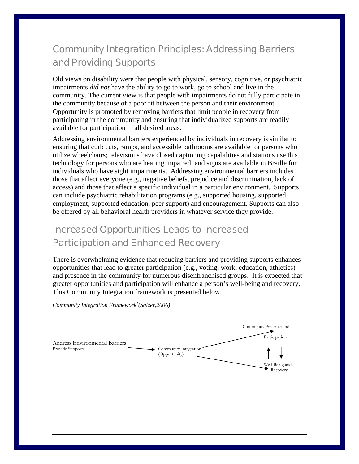# Community Integration Principles: Addressing Barriers and Providing Supports

Old views on disability were that people with physical, sensory, cognitive, or psychiatric impairments *did not* have the ability to go to work, go to school and live in the community. The current view is that people with impairments do not fully participate in the community because of a poor fit between the person and their environment. Opportunity is promoted by removing barriers that limit people in recovery from participating in the community and ensuring that individualized supports are readily available for participation in all desired areas.

Addressing environmental barriers experienced by individuals in recovery is similar to ensuring that curb cuts, ramps, and accessible bathrooms are available for persons who utilize wheelchairs; televisions have closed captioning capabilities and stations use this technology for persons who are hearing impaired; and signs are available in Braille for individuals who have sight impairments. Addressing environmental barriers includes those that affect everyone (e.g., negative beliefs, prejudice and discrimination, lack of access) and those that affect a specific individual in a particular environment. Supports can include psychiatric rehabilitation programs (e.g., supported housing, supported employment, supported education, peer support) and encouragement. Supports can also be offered by all behavioral health providers in whatever service they provide.

## Increased Opportunities Leads to Increased Participation and Enhanced Recovery

There is overwhelming evidence that reducing barriers and providing supports enhances opportunities that lead to greater participation (e.g., voting, work, education, athletics) and presence in the community for numerous disenfranchised groups. It is expected that greater opportunities and participation will enhance a person's well-being and recovery. This Community Integration framework is presented below.

*Community Integration Framework<sup>1</sup>(Salzer,2006)* 

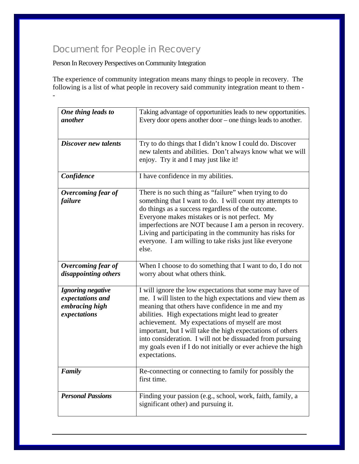## Document for People in Recovery

Person In Recovery Perspectives on Community Integration

The experience of community integration means many things to people in recovery. The following is a list of what people in recovery said community integration meant to them - -

| One thing leads to<br><i>another</i>                                    | Taking advantage of opportunities leads to new opportunities.<br>Every door opens another door $-$ one things leads to another.                                                                                                                                                                                                                                                                                                                                                                  |
|-------------------------------------------------------------------------|--------------------------------------------------------------------------------------------------------------------------------------------------------------------------------------------------------------------------------------------------------------------------------------------------------------------------------------------------------------------------------------------------------------------------------------------------------------------------------------------------|
| <b>Discover new talents</b>                                             | Try to do things that I didn't know I could do. Discover<br>new talents and abilities. Don't always know what we will<br>enjoy. Try it and I may just like it!                                                                                                                                                                                                                                                                                                                                   |
| Confidence                                                              | I have confidence in my abilities.                                                                                                                                                                                                                                                                                                                                                                                                                                                               |
| Overcoming fear of<br><i>failure</i>                                    | There is no such thing as "failure" when trying to do<br>something that I want to do. I will count my attempts to<br>do things as a success regardless of the outcome.<br>Everyone makes mistakes or is not perfect. My<br>imperfections are NOT because I am a person in recovery.<br>Living and participating in the community has risks for<br>everyone. I am willing to take risks just like everyone<br>else.                                                                               |
| Overcoming fear of<br>disappointing others                              | When I choose to do something that I want to do, I do not<br>worry about what others think.                                                                                                                                                                                                                                                                                                                                                                                                      |
| Ignoring negative<br>expectations and<br>embracing high<br>expectations | I will ignore the low expectations that some may have of<br>me. I will listen to the high expectations and view them as<br>meaning that others have confidence in me and my<br>abilities. High expectations might lead to greater<br>achievement. My expectations of myself are most<br>important, but I will take the high expectations of others<br>into consideration. I will not be dissuaded from pursuing<br>my goals even if I do not initially or ever achieve the high<br>expectations. |
| <b>Family</b>                                                           | Re-connecting or connecting to family for possibly the<br>first time.                                                                                                                                                                                                                                                                                                                                                                                                                            |
| <b>Personal Passions</b>                                                | Finding your passion (e.g., school, work, faith, family, a<br>significant other) and pursuing it.                                                                                                                                                                                                                                                                                                                                                                                                |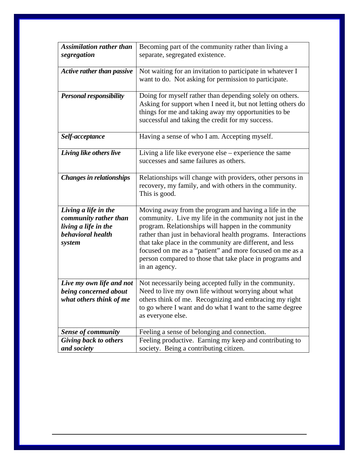| <b>Assimilation rather than</b><br>segregation                                                       | Becoming part of the community rather than living a<br>separate, segregated existence.                                                                                                                                                                                                                                                                                                                                                        |
|------------------------------------------------------------------------------------------------------|-----------------------------------------------------------------------------------------------------------------------------------------------------------------------------------------------------------------------------------------------------------------------------------------------------------------------------------------------------------------------------------------------------------------------------------------------|
| <b>Active rather than passive</b>                                                                    | Not waiting for an invitation to participate in whatever I<br>want to do. Not asking for permission to participate.                                                                                                                                                                                                                                                                                                                           |
| <b>Personal responsibility</b>                                                                       | Doing for myself rather than depending solely on others.<br>Asking for support when I need it, but not letting others do<br>things for me and taking away my opportunities to be<br>successful and taking the credit for my success.                                                                                                                                                                                                          |
| Self-acceptance                                                                                      | Having a sense of who I am. Accepting myself.                                                                                                                                                                                                                                                                                                                                                                                                 |
| Living like others live                                                                              | Living a life like everyone $else - experience$ the same<br>successes and same failures as others.                                                                                                                                                                                                                                                                                                                                            |
| <b>Changes in relationships</b>                                                                      | Relationships will change with providers, other persons in<br>recovery, my family, and with others in the community.<br>This is good.                                                                                                                                                                                                                                                                                                         |
| Living a life in the<br>community rather than<br>living a life in the<br>behavioral health<br>system | Moving away from the program and having a life in the<br>community. Live my life in the community not just in the<br>program. Relationships will happen in the community<br>rather than just in behavioral health programs. Interactions<br>that take place in the community are different, and less<br>focused on me as a "patient" and more focused on me as a<br>person compared to those that take place in programs and<br>in an agency. |
| Live my own life and not<br>being concerned about<br>what others think of me                         | Not necessarily being accepted fully in the community.<br>Need to live my own life without worrying about what<br>others think of me. Recognizing and embracing my right<br>to go where I want and do what I want to the same degree<br>as everyone else.                                                                                                                                                                                     |
| <b>Sense of community</b>                                                                            | Feeling a sense of belonging and connection.                                                                                                                                                                                                                                                                                                                                                                                                  |
| Giving back to others<br>and society                                                                 | Feeling productive. Earning my keep and contributing to<br>society. Being a contributing citizen.                                                                                                                                                                                                                                                                                                                                             |

8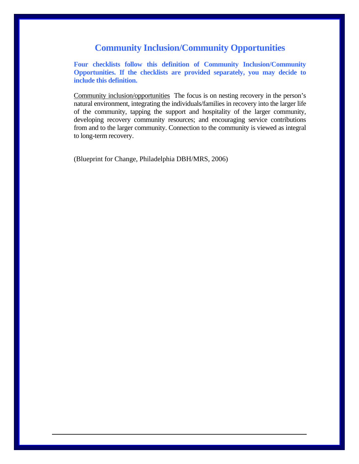## **Community Inclusion/Community Opportunities**

**Four checklists follow this definition of Community Inclusion/Community Opportunities. If the checklists are provided separately, you may decide to include this definition.** 

Community inclusion/opportunitiesThe focus is on nesting recovery in the person's natural environment, integrating the individuals/families in recovery into the larger life of the community, tapping the support and hospitality of the larger community, developing recovery community resources; and encouraging service contributions from and to the larger community. Connection to the community is viewed as integral to long-term recovery.

9

(Blueprint for Change, Philadelphia DBH/MRS, 2006)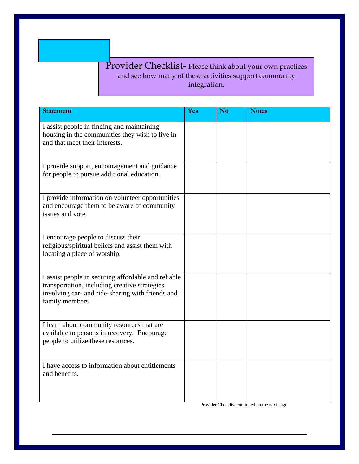## Provider Checklist- Please think about your own practices and see how many of these activities support community integration.

| <b>Statement</b>                                                                                                                                                            | Yes | <b>No</b> | <b>Notes</b> |
|-----------------------------------------------------------------------------------------------------------------------------------------------------------------------------|-----|-----------|--------------|
| I assist people in finding and maintaining<br>housing in the communities they wish to live in<br>and that meet their interests.                                             |     |           |              |
| I provide support, encouragement and guidance<br>for people to pursue additional education.                                                                                 |     |           |              |
| I provide information on volunteer opportunities<br>and encourage them to be aware of community<br>issues and vote.                                                         |     |           |              |
| I encourage people to discuss their<br>religious/spiritual beliefs and assist them with<br>locating a place of worship.                                                     |     |           |              |
| I assist people in securing affordable and reliable<br>transportation, including creative strategies<br>involving car- and ride-sharing with friends and<br>family members. |     |           |              |
| I learn about community resources that are<br>available to persons in recovery. Encourage<br>people to utilize these resources.                                             |     |           |              |
| I have access to information about entitlements<br>and benefits.                                                                                                            |     |           |              |

10

Provider Checklist continued on the next page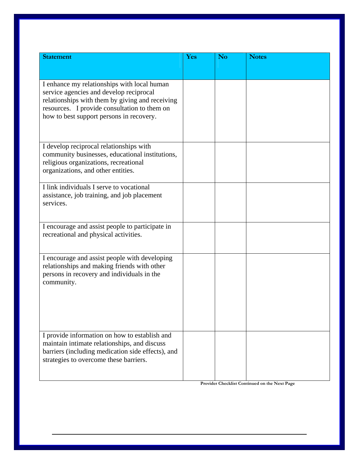| <b>Statement</b>                                                                                                                                                                                                                      | Yes | No | <b>Notes</b> |
|---------------------------------------------------------------------------------------------------------------------------------------------------------------------------------------------------------------------------------------|-----|----|--------------|
|                                                                                                                                                                                                                                       |     |    |              |
| I enhance my relationships with local human<br>service agencies and develop reciprocal<br>relationships with them by giving and receiving<br>resources. I provide consultation to them on<br>how to best support persons in recovery. |     |    |              |
| I develop reciprocal relationships with<br>community businesses, educational institutions,<br>religious organizations, recreational<br>organizations, and other entities.                                                             |     |    |              |
| I link individuals I serve to vocational<br>assistance, job training, and job placement<br>services.                                                                                                                                  |     |    |              |
| I encourage and assist people to participate in<br>recreational and physical activities.                                                                                                                                              |     |    |              |
| I encourage and assist people with developing<br>relationships and making friends with other<br>persons in recovery and individuals in the<br>community.                                                                              |     |    |              |
| I provide information on how to establish and<br>maintain intimate relationships, and discuss<br>barriers (including medication side effects), and<br>strategies to overcome these barriers.                                          |     |    |              |

**Provider Checklist Continued on the Next Page**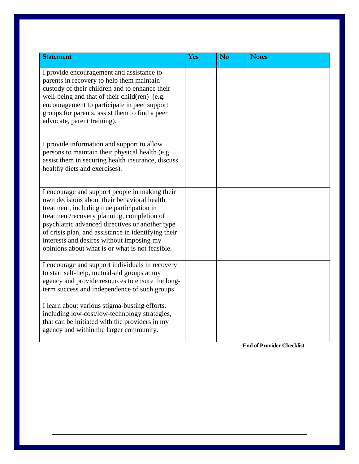| <b>Statement</b>                                                                                                                                                                                                                                                                                                                                                                                    | Yes | N <sub>o</sub> | <b>Notes</b> |
|-----------------------------------------------------------------------------------------------------------------------------------------------------------------------------------------------------------------------------------------------------------------------------------------------------------------------------------------------------------------------------------------------------|-----|----------------|--------------|
| I provide encouragement and assistance to<br>parents in recovery to help them maintain<br>custody of their children and to enhance their<br>well-being and that of their child(ren) (e.g.<br>encouragement to participate in peer support<br>groups for parents, assist them to find a peer<br>advocate, parent training).                                                                          |     |                |              |
| I provide information and support to allow<br>persons to maintain their physical health (e.g.<br>assist them in securing health insurance, discuss<br>healthy diets and exercises).                                                                                                                                                                                                                 |     |                |              |
| I encourage and support people in making their<br>own decisions about their behavioral health<br>treatment, including true participation in<br>treatment/recovery planning, completion of<br>psychiatric advanced directives or another type<br>of crisis plan, and assistance in identifying their<br>interests and desires without imposing my<br>opinions about what is or what is not feasible. |     |                |              |
| I encourage and support individuals in recovery<br>to start self-help, mutual-aid groups at my<br>agency and provide resources to ensure the long-<br>term success and independence of such groups.                                                                                                                                                                                                 |     |                |              |
| I learn about various stigma-busting efforts,<br>including low-cost/low-technology strategies,<br>that can be initiated with the providers in my<br>agency and within the larger community.                                                                                                                                                                                                         |     |                |              |

**End of Provider Checklist**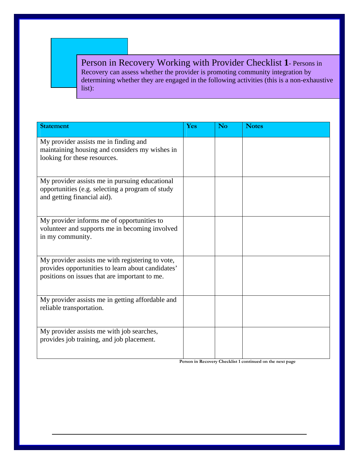Person in Recovery Working with Provider Checklist **1**- Persons in Recovery can assess whether the provider is promoting community integration by determining whether they are engaged in the following activities (this is a non-exhaustive list):

| <b>Statement</b>                                                                                                                                       | Yes | <b>No</b> | <b>Notes</b> |
|--------------------------------------------------------------------------------------------------------------------------------------------------------|-----|-----------|--------------|
| My provider assists me in finding and<br>maintaining housing and considers my wishes in<br>looking for these resources.                                |     |           |              |
| My provider assists me in pursuing educational<br>opportunities (e.g. selecting a program of study<br>and getting financial aid).                      |     |           |              |
| My provider informs me of opportunities to<br>volunteer and supports me in becoming involved<br>in my community.                                       |     |           |              |
| My provider assists me with registering to vote,<br>provides opportunities to learn about candidates'<br>positions on issues that are important to me. |     |           |              |
| My provider assists me in getting affordable and<br>reliable transportation.                                                                           |     |           |              |
| My provider assists me with job searches,<br>provides job training, and job placement.                                                                 |     |           |              |

**Person in Recovery Checklist 1 continued on the next page**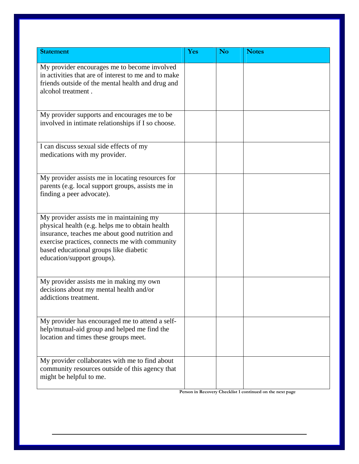| <b>Statement</b>                                                                                                                                                                                                                                                        | Yes | <b>No</b> | <b>Notes</b> |
|-------------------------------------------------------------------------------------------------------------------------------------------------------------------------------------------------------------------------------------------------------------------------|-----|-----------|--------------|
| My provider encourages me to become involved<br>in activities that are of interest to me and to make<br>friends outside of the mental health and drug and<br>alcohol treatment.                                                                                         |     |           |              |
| My provider supports and encourages me to be<br>involved in intimate relationships if I so choose.                                                                                                                                                                      |     |           |              |
| I can discuss sexual side effects of my<br>medications with my provider.                                                                                                                                                                                                |     |           |              |
| My provider assists me in locating resources for<br>parents (e.g. local support groups, assists me in<br>finding a peer advocate).                                                                                                                                      |     |           |              |
| My provider assists me in maintaining my<br>physical health (e.g. helps me to obtain health<br>insurance, teaches me about good nutrition and<br>exercise practices, connects me with community<br>based educational groups like diabetic<br>education/support groups). |     |           |              |
| My provider assists me in making my own<br>decisions about my mental health and/or<br>addictions treatment.                                                                                                                                                             |     |           |              |
| My provider has encouraged me to attend a self-<br>help/mutual-aid group and helped me find the<br>location and times these groups meet.                                                                                                                                |     |           |              |
| My provider collaborates with me to find about<br>community resources outside of this agency that<br>might be helpful to me.                                                                                                                                            |     |           |              |

**Person in Recovery Checklist 1 continued on the next page**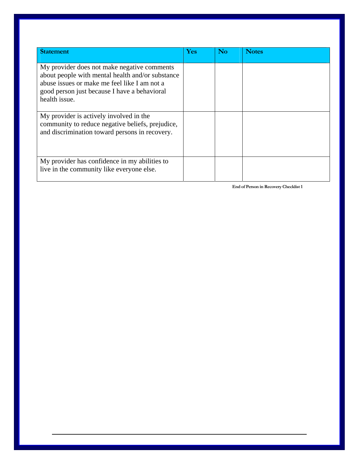| <b>Statement</b>                                                                                                                                                                                                 | Yes | No | <b>Notes</b> |
|------------------------------------------------------------------------------------------------------------------------------------------------------------------------------------------------------------------|-----|----|--------------|
| My provider does not make negative comments<br>about people with mental health and/or substance<br>abuse issues or make me feel like I am not a<br>good person just because I have a behavioral<br>health issue. |     |    |              |
| My provider is actively involved in the<br>community to reduce negative beliefs, prejudice,<br>and discrimination toward persons in recovery.                                                                    |     |    |              |
| My provider has confidence in my abilities to<br>live in the community like everyone else.                                                                                                                       |     |    |              |

**End of Person in Recovery Checklist 1**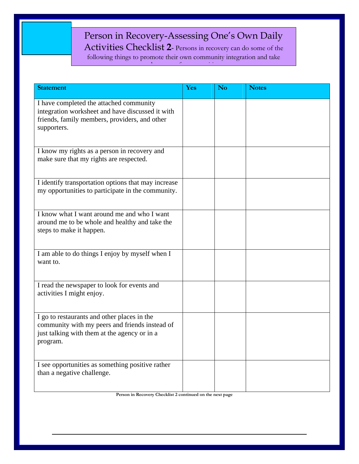# Person in Recovery-Assessing One's Own Daily

Activities Checklist **2**- Persons in recovery can do some of the following things to promote their own community integration and take  $\mathbf{d}$  is in its contribution of  $\mathbf{d}$  is in the following  $\mathbf{d}$ 

| <b>Statement</b>                                                                                                                                            | Yes | <b>No</b> | <b>Notes</b> |
|-------------------------------------------------------------------------------------------------------------------------------------------------------------|-----|-----------|--------------|
| I have completed the attached community<br>integration worksheet and have discussed it with<br>friends, family members, providers, and other<br>supporters. |     |           |              |
| I know my rights as a person in recovery and<br>make sure that my rights are respected.                                                                     |     |           |              |
| I identify transportation options that may increase<br>my opportunities to participate in the community.                                                    |     |           |              |
| I know what I want around me and who I want<br>around me to be whole and healthy and take the<br>steps to make it happen.                                   |     |           |              |
| I am able to do things I enjoy by myself when I<br>want to.                                                                                                 |     |           |              |
| I read the newspaper to look for events and<br>activities I might enjoy.                                                                                    |     |           |              |
| I go to restaurants and other places in the<br>community with my peers and friends instead of<br>just talking with them at the agency or in a<br>program.   |     |           |              |
| I see opportunities as something positive rather<br>than a negative challenge.                                                                              |     |           |              |

**Person in Recovery Checklist 2 continued on the next page**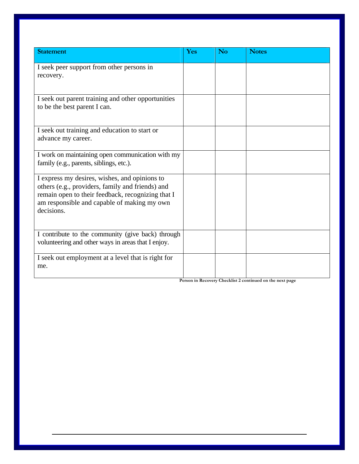| <b>Statement</b>                                                                                                                                                                                                    | Yes | <b>No</b> | <b>Notes</b> |
|---------------------------------------------------------------------------------------------------------------------------------------------------------------------------------------------------------------------|-----|-----------|--------------|
| I seek peer support from other persons in<br>recovery.                                                                                                                                                              |     |           |              |
| I seek out parent training and other opportunities<br>to be the best parent I can.                                                                                                                                  |     |           |              |
| I seek out training and education to start or<br>advance my career.                                                                                                                                                 |     |           |              |
| I work on maintaining open communication with my<br>family (e.g., parents, siblings, etc.).                                                                                                                         |     |           |              |
| I express my desires, wishes, and opinions to<br>others (e.g., providers, family and friends) and<br>remain open to their feedback, recognizing that I<br>am responsible and capable of making my own<br>decisions. |     |           |              |
| I contribute to the community (give back) through<br>volunteering and other ways in areas that I enjoy.                                                                                                             |     |           |              |
| I seek out employment at a level that is right for<br>me.                                                                                                                                                           |     |           |              |

**Person in Recovery Checklist 2 continued on the next page**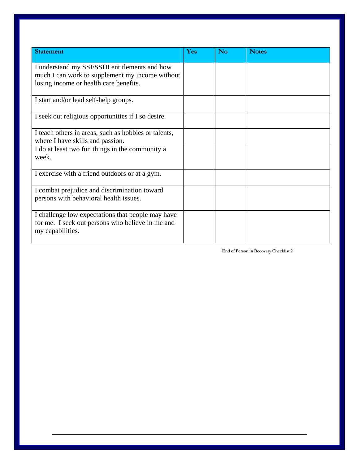| <b>Statement</b>                                     | Yes | <b>No</b> | <b>Notes</b> |
|------------------------------------------------------|-----|-----------|--------------|
| I understand my SSI/SSDI entitlements and how        |     |           |              |
| much I can work to supplement my income without      |     |           |              |
| losing income or health care benefits.               |     |           |              |
| I start and/or lead self-help groups.                |     |           |              |
| I seek out religious opportunities if I so desire.   |     |           |              |
| I teach others in areas, such as hobbies or talents, |     |           |              |
| where I have skills and passion.                     |     |           |              |
| I do at least two fun things in the community a      |     |           |              |
| week.                                                |     |           |              |
| I exercise with a friend outdoors or at a gym.       |     |           |              |
| I combat prejudice and discrimination toward         |     |           |              |
| persons with behavioral health issues.               |     |           |              |
| I challenge low expectations that people may have    |     |           |              |
| for me. I seek out persons who believe in me and     |     |           |              |
| my capabilities.                                     |     |           |              |
|                                                      |     |           |              |

**End of Person in Recovery Checklist 2**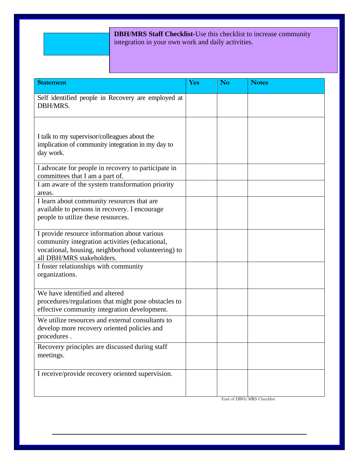## **DBH/MRS Staff Checklist-**Use this checklist to increase community integration in your own work and daily activities.

| <b>Statement</b>                                                                                                                                                                  | Yes | <b>No</b> | <b>Notes</b> |
|-----------------------------------------------------------------------------------------------------------------------------------------------------------------------------------|-----|-----------|--------------|
| Self identified people in Recovery are employed at<br>DBH/MRS.                                                                                                                    |     |           |              |
| I talk to my supervisor/colleagues about the<br>implication of community integration in my day to<br>day work.                                                                    |     |           |              |
| I advocate for people in recovery to participate in<br>committees that I am a part of.                                                                                            |     |           |              |
| I am aware of the system transformation priority<br>areas.                                                                                                                        |     |           |              |
| I learn about community resources that are<br>available to persons in recovery. I encourage<br>people to utilize these resources.                                                 |     |           |              |
| I provide resource information about various<br>community integration activities (educational,<br>vocational, housing, neighborhood volunteering) to<br>all DBH/MRS stakeholders. |     |           |              |
| I foster relationships with community<br>organizations.                                                                                                                           |     |           |              |
| We have identified and altered<br>procedures/regulations that might pose obstacles to<br>effective community integration development.                                             |     |           |              |
| We utilize resources and external consultants to<br>develop more recovery oriented policies and<br>procedures.                                                                    |     |           |              |
| Recovery principles are discussed during staff<br>meetings.                                                                                                                       |     |           |              |
| I receive/provide recovery oriented supervision.                                                                                                                                  |     |           |              |

End of DBH/MRS Checklist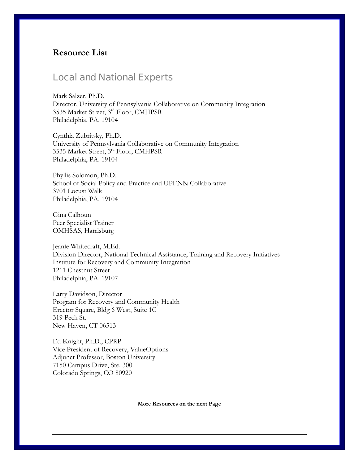## **Resource List**

## Local and National Experts

Mark Salzer, Ph.D. Director, University of Pennsylvania Collaborative on Community Integration 3535 Market Street, 3rd Floor, CMHPSR Philadelphia, PA. 19104

Cynthia Zubritsky, Ph.D. University of Pennsylvania Collaborative on Community Integration 3535 Market Street, 3rd Floor, CMHPSR Philadelphia, PA. 19104

Phyllis Solomon, Ph.D. School of Social Policy and Practice and UPENN Collaborative 3701 Locust Walk Philadelphia, PA. 19104

Gina Calhoun Peer Specialist Trainer OMHSAS, Harrisburg

Jeanie Whitecraft, M.Ed. Division Director, National Technical Assistance, Training and Recovery Initiatives Institute for Recovery and Community Integration 1211 Chestnut Street Philadelphia, PA. 19107

Larry Davidson, Director Program for Recovery and Community Health Erector Square, Bldg 6 West, Suite 1C 319 Peck St. New Haven, CT 06513

Ed Knight, Ph.D., CPRP Vice President of Recovery, ValueOptions Adjunct Professor, Boston University 7150 Campus Drive, Ste. 300 Colorado Springs, CO 80920

**More Resources on the next Page** 

20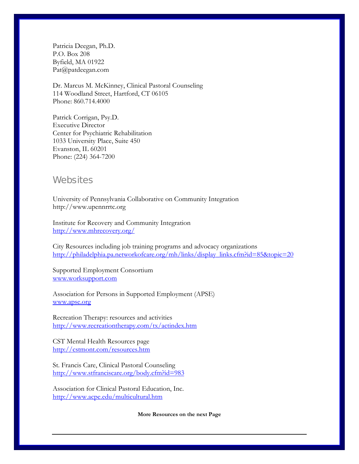Patricia Deegan, Ph.D. P.O. Box 208 Byfield, MA 01922 Pat@patdeegan.com

Dr. Marcus M. McKinney, Clinical Pastoral Counseling 114 Woodland Street, Hartford, CT 06105 Phone: 860.714.4000

Patrick Corrigan, Psy.D. Executive Director Center for Psychiatric Rehabilitation 1033 University Place, Suite 450 Evanston, IL 60201 Phone: (224) 364-7200

### **Websites**

University of Pennsylvania Collaborative on Community Integration http://www.upennrrtc.org

Institute for Recovery and Community Integration <http://www.mhrecovery.org/>

City Resources including job training programs and advocacy organizations [http://philadelphia.pa.networkofcare.org/mh/links/display\\_links.cfm?id=85&topic=20](http://philadelphia.pa.networkofcare.org/mh/links/display_links.cfm?id=85&topic=20)

Supported Employment Consortium [www.worksupport.com](http://www.worksupport.com/)

Association for Persons in Supported Employment (APSE) [www.apse.org](http://www.apse.org/)

Recreation Therapy: resources and activities <http://www.recreationtherapy.com/tx/actindex.htm>

CST Mental Health Resources page <http://cstmont.com/resources.htm>

St. Francis Care, Clinical Pastoral Counseling <http://www.stfranciscare.org/body.cfm?id=983>

Association for Clinical Pastoral Education, Inc. <http://www.acpe.edu/multicultural.htm>

**More Resources on the next Page**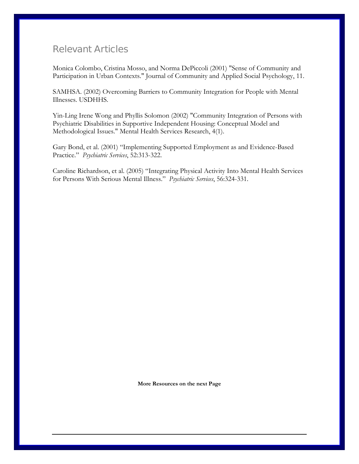## Relevant Articles

Monica Colombo, Cristina Mosso, and Norma DePiccoli (2001) "Sense of Community and Participation in Urban Contexts." Journal of Community and Applied Social Psychology, 11.

SAMHSA. (2002) Overcoming Barriers to Community Integration for People with Mental Illnesses. USDHHS.

Yin-Ling Irene Wong and Phyllis Solomon (2002) "Community Integration of Persons with Psychiatric Disabilities in Supportive Independent Housing: Conceptual Model and Methodological Issues." Mental Health Services Research, 4(1).

Gary Bond, et al. (2001) "Implementing Supported Employment as and Evidence-Based Practice." *Psychiatric Services*, 52:313-322.

Caroline Richardson, et al. (2005) "Integrating Physical Activity Into Mental Health Services for Persons With Serious Mental Illness." *Psychiatric Services*, 56:324-331.

**More Resources on the next Page**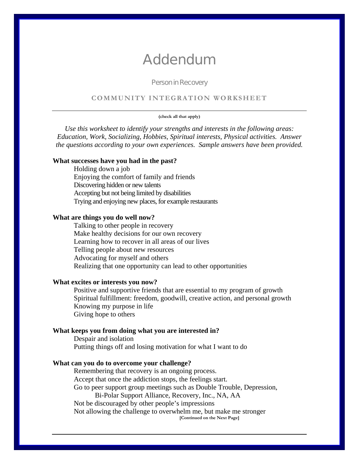# Addendum

#### Person in Recovery

#### **COMMUNITY INTEGRATION WORKSHEET**

#### **(check all that apply)**

*Use this worksheet to identify your strengths and interests in the following areas: Education, Work, Socializing, Hobbies, Spiritual interests, Physical activities. Answer the questions according to your own experiences. Sample answers have been provided.* 

#### **What successes have you had in the past?**

Holding down a job Enjoying the comfort of family and friends Discovering hidden or new talents Accepting but not being limited by disabilities Trying and enjoying new places, for example restaurants

#### **What are things you do well now?**

Talking to other people in recovery Make healthy decisions for our own recovery Learning how to recover in all areas of our lives Telling people about new resources Advocating for myself and others Realizing that one opportunity can lead to other opportunities

#### **What excites or interests you now?**

Positive and supportive friends that are essential to my program of growth Spiritual fulfillment: freedom, goodwill, creative action, and personal growth Knowing my purpose in life Giving hope to others

#### **What keeps you from doing what you are interested in?**

Despair and isolation Putting things off and losing motivation for what I want to do

#### **What can you do to overcome your challenge?**

Remembering that recovery is an ongoing process. Accept that once the addiction stops, the feelings start. Go to peer support group meetings such as Double Trouble, Depression, Bi-Polar Support Alliance, Recovery, Inc., NA, AA Not be discouraged by other people's impressions Not allowing the challenge to overwhelm me, but make me stronger **[Continued on the Next Page]**